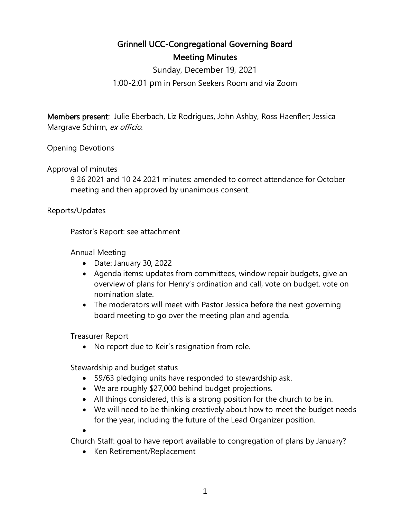## Grinnell UCC-Congregational Governing Board Meeting Minutes

Sunday, December 19, 2021

1:00-2:01 pm in Person Seekers Room and via Zoom

 $\overline{a}$ 

Members present: Julie Eberbach, Liz Rodrigues, John Ashby, Ross Haenfler; Jessica Margrave Schirm, ex officio.

Opening Devotions

Approval of minutes

9 26 2021 and 10 24 2021 minutes: amended to correct attendance for October meeting and then approved by unanimous consent.

Reports/Updates

Pastor's Report: see attachment

Annual Meeting

- Date: January 30, 2022
- Agenda items: updates from committees, window repair budgets, give an overview of plans for Henry's ordination and call, vote on budget. vote on nomination slate.
- The moderators will meet with Pastor Jessica before the next governing board meeting to go over the meeting plan and agenda.

Treasurer Report

• No report due to Keir's resignation from role.

Stewardship and budget status

- 59/63 pledging units have responded to stewardship ask.
- We are roughly \$27,000 behind budget projections.
- All things considered, this is a strong position for the church to be in.
- We will need to be thinking creatively about how to meet the budget needs for the year, including the future of the Lead Organizer position.
- •

Church Staff: goal to have report available to congregation of plans by January?

• Ken Retirement/Replacement